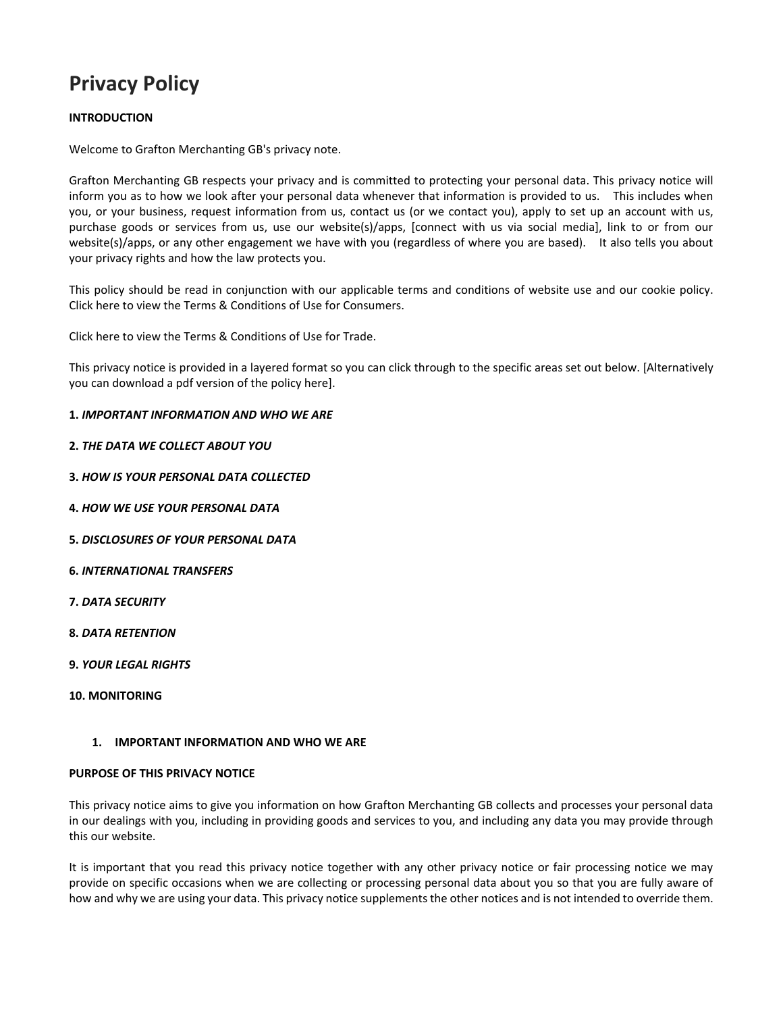# **Privacy Policy**

# **INTRODUCTION**

Welcome to Grafton Merchanting GB's privacy note.

Grafton Merchanting GB respects your privacy and is committed to protecting your personal data. This privacy notice will inform you as to how we look after your personal data whenever that information is provided to us. This includes when you, or your business, request information from us, contact us (or we contact you), apply to set up an account with us, purchase goods or services from us, use our website(s)/apps, [connect with us via social media], link to or from our website(s)/apps, or any other engagement we have with you (regardless of where you are based). It also tells you about your privacy rights and how the law protects you.

This policy should be read in conjunction with our applicable terms and conditions of website use and our cookie policy. Click here to view the Terms & Conditions of Use for Consumers.

Click here to view the Terms & Conditions of Use for Trade.

This privacy notice is provided in a layered format so you can click through to the specific areas set out below. [Alternatively you can download a pdf version of the policy here].

# **1.** *IMPORTANT INFORMATION AND WHO WE ARE*

- **2.** *THE DATA WE COLLECT ABOUT YOU*
- **3.** *HOW IS YOUR PERSONAL DATA COLLECTED*
- **4.** *HOW WE USE YOUR PERSONAL DATA*
- **5.** *DISCLOSURES OF YOUR PERSONAL DATA*
- **6.** *INTERNATIONAL TRANSFERS*
- **7.** *DATA SECURITY*
- **8.** *DATA RETENTION*
- **9.** *YOUR LEGAL RIGHTS*
- **10. MONITORING**

# **1. IMPORTANT INFORMATION AND WHO WE ARE**

## **PURPOSE OF THIS PRIVACY NOTICE**

This privacy notice aims to give you information on how Grafton Merchanting GB collects and processes your personal data in our dealings with you, including in providing goods and services to you, and including any data you may provide through this our website.

It is important that you read this privacy notice together with any other privacy notice or fair processing notice we may provide on specific occasions when we are collecting or processing personal data about you so that you are fully aware of how and why we are using your data. This privacy notice supplements the other notices and is not intended to override them.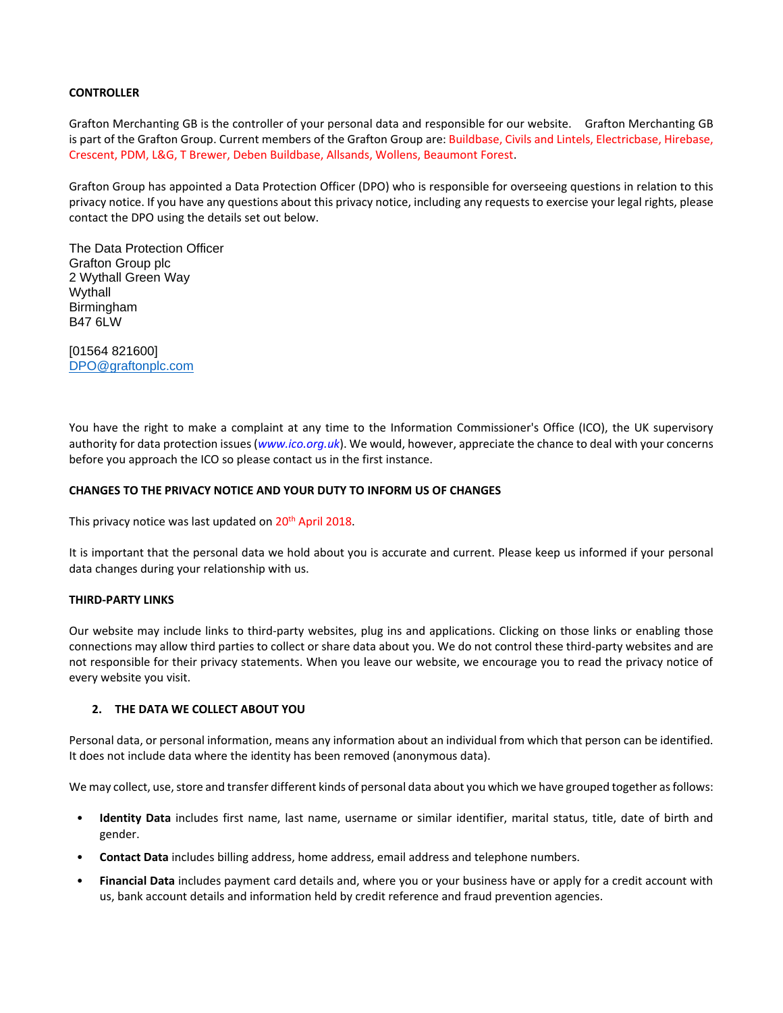# **CONTROLLER**

Grafton Merchanting GB is the controller of your personal data and responsible for our website. Grafton Merchanting GB is part of the Grafton Group. Current members of the Grafton Group are: Buildbase, Civils and Lintels, Electricbase, Hirebase, Crescent, PDM, L&G, T Brewer, Deben Buildbase, Allsands, Wollens, Beaumont Forest.

Grafton Group has appointed a Data Protection Officer (DPO) who is responsible for overseeing questions in relation to this privacy notice. If you have any questions about this privacy notice, including any requests to exercise your legal rights, please contact the DPO using the details set out below.

The Data Protection Officer Grafton Group plc 2 Wythall Green Way Wythall Birmingham B47 6LW

[01564 821600] [DPO@graftonplc.com](mailto:DPO@graftonplc.com)

You have the right to make a complaint at any time to the Information Commissioner's Office (ICO), the UK supervisory authority for data protection issues (*[www.ico.org.uk](http://www.ico.org.uk/)*). We would, however, appreciate the chance to deal with your concerns before you approach the ICO so please contact us in the first instance.

## **CHANGES TO THE PRIVACY NOTICE AND YOUR DUTY TO INFORM US OF CHANGES**

This privacy notice was last updated on 20<sup>th</sup> April 2018.

It is important that the personal data we hold about you is accurate and current. Please keep us informed if your personal data changes during your relationship with us.

## **THIRD-PARTY LINKS**

Our website may include links to third-party websites, plug ins and applications. Clicking on those links or enabling those connections may allow third parties to collect or share data about you. We do not control these third-party websites and are not responsible for their privacy statements. When you leave our website, we encourage you to read the privacy notice of every website you visit.

# **2. THE DATA WE COLLECT ABOUT YOU**

Personal data, or personal information, means any information about an individual from which that person can be identified. It does not include data where the identity has been removed (anonymous data).

We may collect, use, store and transfer different kinds of personal data about you which we have grouped together as follows:

- **Identity Data** includes first name, last name, username or similar identifier, marital status, title, date of birth and gender.
- **Contact Data** includes billing address, home address, email address and telephone numbers.
- **Financial Data** includes payment card details and, where you or your business have or apply for a credit account with us, bank account details and information held by credit reference and fraud prevention agencies.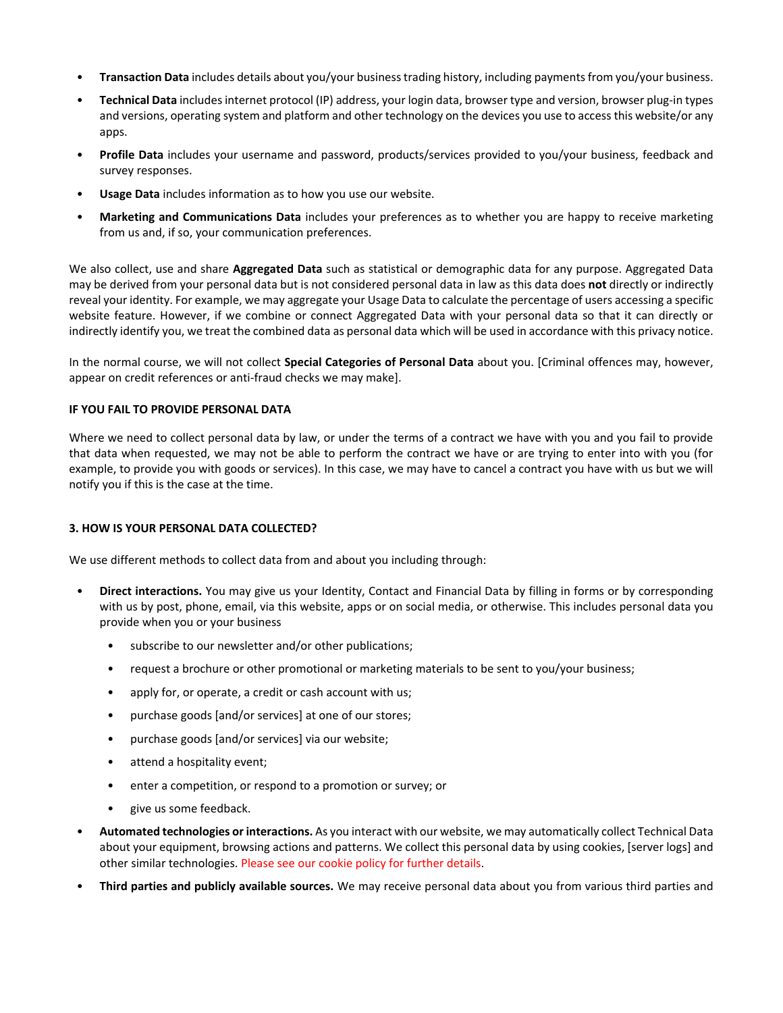- **Transaction Data** includes details about you/your business trading history, including payments from you/your business.
- **Technical Data** includes internet protocol (IP) address, your login data, browser type and version, browser plug-in types and versions, operating system and platform and other technology on the devices you use to access this website/or any apps.
- **Profile Data** includes your username and password, products/services provided to you/your business, feedback and survey responses.
- **Usage Data** includes information as to how you use our website.
- **Marketing and Communications Data** includes your preferences as to whether you are happy to receive marketing from us and, if so, your communication preferences.

We also collect, use and share **Aggregated Data** such as statistical or demographic data for any purpose. Aggregated Data may be derived from your personal data but is not considered personal data in law as this data does **not** directly or indirectly reveal your identity. For example, we may aggregate your Usage Data to calculate the percentage of users accessing a specific website feature. However, if we combine or connect Aggregated Data with your personal data so that it can directly or indirectly identify you, we treat the combined data as personal data which will be used in accordance with this privacy notice.

In the normal course, we will not collect **Special Categories of Personal Data** about you. [Criminal offences may, however, appear on credit references or anti-fraud checks we may make].

## **IF YOU FAIL TO PROVIDE PERSONAL DATA**

Where we need to collect personal data by law, or under the terms of a contract we have with you and you fail to provide that data when requested, we may not be able to perform the contract we have or are trying to enter into with you (for example, to provide you with goods or services). In this case, we may have to cancel a contract you have with us but we will notify you if this is the case at the time.

## **3. HOW IS YOUR PERSONAL DATA COLLECTED?**

We use different methods to collect data from and about you including through:

- **Direct interactions.** You may give us your Identity, Contact and Financial Data by filling in forms or by corresponding with us by post, phone, email, via this website, apps or on social media, or otherwise. This includes personal data you provide when you or your business
	- subscribe to our newsletter and/or other publications;
	- request a brochure or other promotional or marketing materials to be sent to you/your business;
	- apply for, or operate, a credit or cash account with us;
	- purchase goods [and/or services] at one of our stores;
	- purchase goods [and/or services] via our website;
	- attend a hospitality event;
	- enter a competition, or respond to a promotion or survey; or
	- give us some feedback.
- **Automated technologies or interactions.** As you interact with our website, we may automatically collect Technical Data about your equipment, browsing actions and patterns. We collect this personal data by using cookies, [server logs] and other similar technologies. Please see our cookie policy for further details.
- **Third parties and publicly available sources.** We may receive personal data about you from various third parties and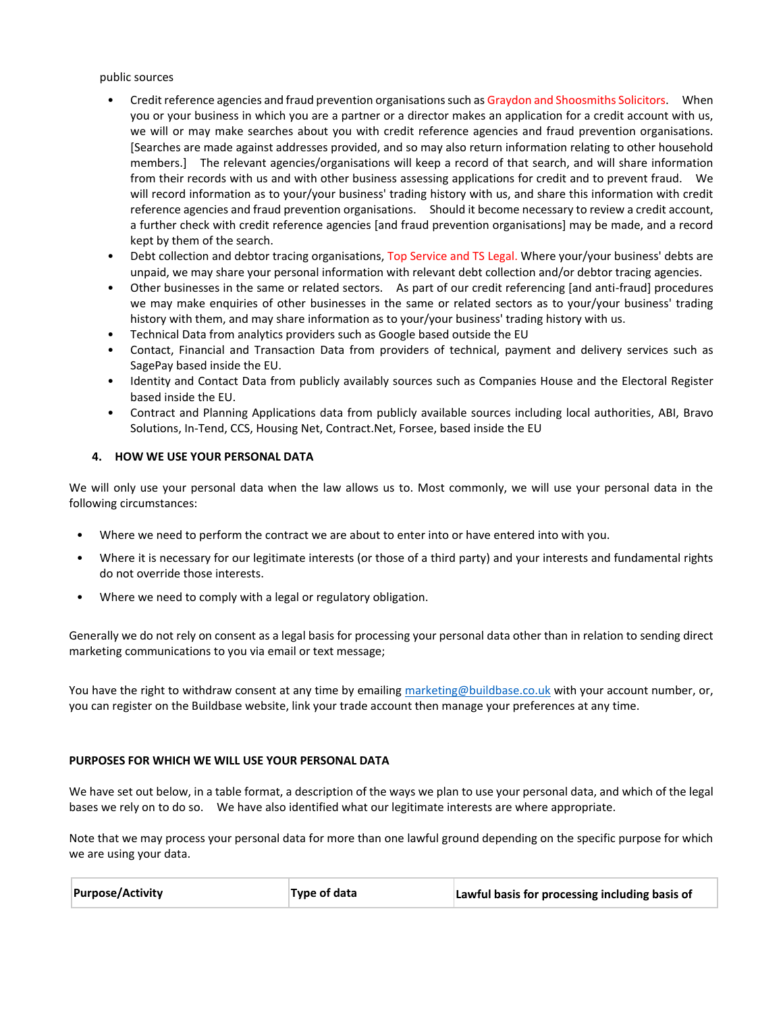public sources

- Credit reference agencies and fraud prevention organisations such as Graydon and Shoosmiths Solicitors. When you or your business in which you are a partner or a director makes an application for a credit account with us, we will or may make searches about you with credit reference agencies and fraud prevention organisations. [Searches are made against addresses provided, and so may also return information relating to other household members.] The relevant agencies/organisations will keep a record of that search, and will share information from their records with us and with other business assessing applications for credit and to prevent fraud. We will record information as to your/your business' trading history with us, and share this information with credit reference agencies and fraud prevention organisations. Should it become necessary to review a credit account, a further check with credit reference agencies [and fraud prevention organisations] may be made, and a record kept by them of the search.
- Debt collection and debtor tracing organisations, Top Service and TS Legal. Where your/your business' debts are unpaid, we may share your personal information with relevant debt collection and/or debtor tracing agencies.
- Other businesses in the same or related sectors. As part of our credit referencing [and anti-fraud] procedures we may make enquiries of other businesses in the same or related sectors as to your/your business' trading history with them, and may share information as to your/your business' trading history with us.
- Technical Data from analytics providers such as Google based outside the EU
- Contact, Financial and Transaction Data from providers of technical, payment and delivery services such as SagePay based inside the EU.
- Identity and Contact Data from publicly availably sources such as Companies House and the Electoral Register based inside the EU.
- Contract and Planning Applications data from publicly available sources including local authorities, ABI, Bravo Solutions, In-Tend, CCS, Housing Net, Contract.Net, Forsee, based inside the EU

## **4. HOW WE USE YOUR PERSONAL DATA**

We will only use your personal data when the law allows us to. Most commonly, we will use your personal data in the following circumstances:

- Where we need to perform the contract we are about to enter into or have entered into with you.
- Where it is necessary for our legitimate interests (or those of a third party) and your interests and fundamental rights do not override those interests.
- Where we need to comply with a legal or regulatory obligation.

Generally we do not rely on consent as a legal basis for processing your personal data other than in relation to sending direct marketing communications to you via email or text message;

You have the right to withdraw consent at any time by emailin[g marketing@buildbase.co.uk](mailto:marketing@buildbase.co.uk) with your account number, or, you can register on the Buildbase website, link your trade account then manage your preferences at any time.

## **PURPOSES FOR WHICH WE WILL USE YOUR PERSONAL DATA**

We have set out below, in a table format, a description of the ways we plan to use your personal data, and which of the legal bases we rely on to do so. We have also identified what our legitimate interests are where appropriate.

Note that we may process your personal data for more than one lawful ground depending on the specific purpose for which we are using your data.

| <b>Purpose/Activity</b> | Type of data | Lawful basis for processing including basis of |
|-------------------------|--------------|------------------------------------------------|
|-------------------------|--------------|------------------------------------------------|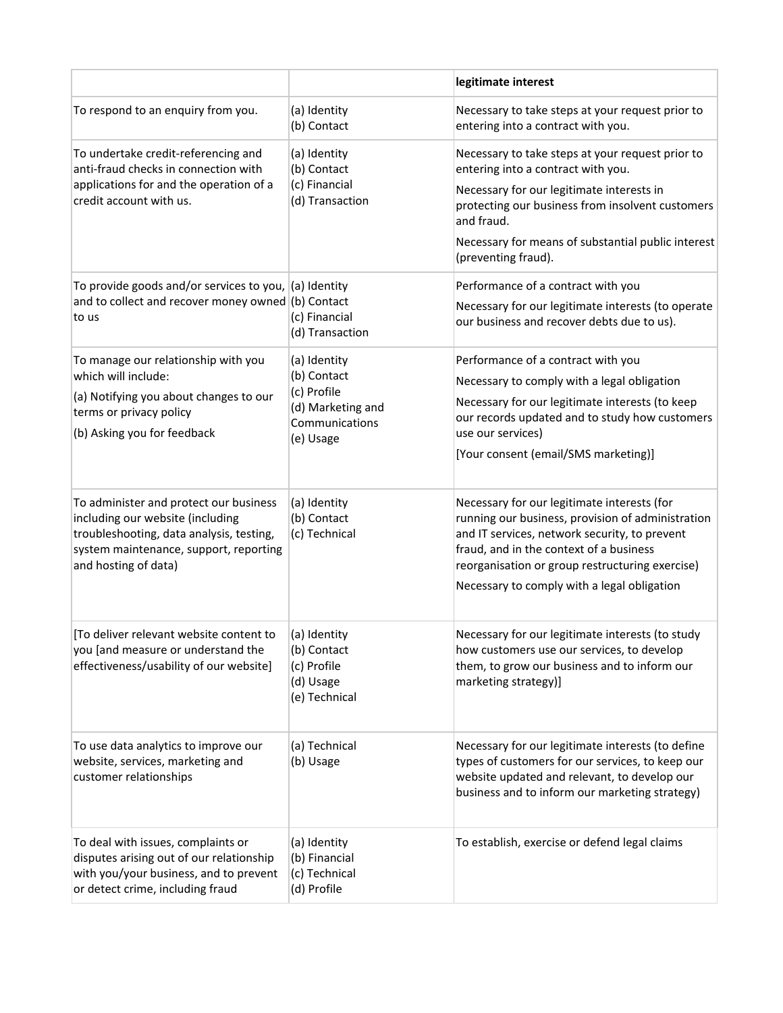|                                                                                                                                                                                          |                                                                 | legitimate interest                                                                                                                                                                                                                                                                            |
|------------------------------------------------------------------------------------------------------------------------------------------------------------------------------------------|-----------------------------------------------------------------|------------------------------------------------------------------------------------------------------------------------------------------------------------------------------------------------------------------------------------------------------------------------------------------------|
| To respond to an enquiry from you.                                                                                                                                                       | (a) Identity<br>(b) Contact                                     | Necessary to take steps at your request prior to<br>entering into a contract with you.                                                                                                                                                                                                         |
| To undertake credit-referencing and<br>anti-fraud checks in connection with<br>applications for and the operation of a<br>credit account with us.                                        | (a) Identity<br>(b) Contact<br>(c) Financial<br>(d) Transaction | Necessary to take steps at your request prior to<br>entering into a contract with you.                                                                                                                                                                                                         |
|                                                                                                                                                                                          |                                                                 | Necessary for our legitimate interests in<br>protecting our business from insolvent customers<br>and fraud.                                                                                                                                                                                    |
|                                                                                                                                                                                          |                                                                 | Necessary for means of substantial public interest<br>(preventing fraud).                                                                                                                                                                                                                      |
| To provide goods and/or services to you, (a) Identity<br>and to collect and recover money owned (b) Contact<br>to us                                                                     | (c) Financial<br>(d) Transaction                                | Performance of a contract with you                                                                                                                                                                                                                                                             |
|                                                                                                                                                                                          |                                                                 | Necessary for our legitimate interests (to operate<br>our business and recover debts due to us).                                                                                                                                                                                               |
| To manage our relationship with you<br>which will include:                                                                                                                               | (a) Identity<br>(b) Contact                                     | Performance of a contract with you                                                                                                                                                                                                                                                             |
| (a) Notifying you about changes to our                                                                                                                                                   | (c) Profile                                                     | Necessary to comply with a legal obligation<br>Necessary for our legitimate interests (to keep                                                                                                                                                                                                 |
| terms or privacy policy                                                                                                                                                                  | (d) Marketing and<br>Communications                             | our records updated and to study how customers                                                                                                                                                                                                                                                 |
| (b) Asking you for feedback                                                                                                                                                              | (e) Usage                                                       | use our services)                                                                                                                                                                                                                                                                              |
|                                                                                                                                                                                          |                                                                 | [Your consent (email/SMS marketing)]                                                                                                                                                                                                                                                           |
| To administer and protect our business<br>including our website (including<br>troubleshooting, data analysis, testing,<br>system maintenance, support, reporting<br>and hosting of data) | (a) Identity<br>(b) Contact<br>(c) Technical                    | Necessary for our legitimate interests (for<br>running our business, provision of administration<br>and IT services, network security, to prevent<br>fraud, and in the context of a business<br>reorganisation or group restructuring exercise)<br>Necessary to comply with a legal obligation |
| [To deliver relevant website content to                                                                                                                                                  | (a) Identity                                                    | Necessary for our legitimate interests (to study                                                                                                                                                                                                                                               |
| you [and measure or understand the<br>effectiveness/usability of our website]                                                                                                            | (b) Contact<br>(c) Profile<br>(d) Usage<br>(e) Technical        | how customers use our services, to develop<br>them, to grow our business and to inform our<br>marketing strategy)]                                                                                                                                                                             |
| To use data analytics to improve our<br>website, services, marketing and<br>customer relationships                                                                                       | (a) Technical<br>(b) Usage                                      | Necessary for our legitimate interests (to define                                                                                                                                                                                                                                              |
|                                                                                                                                                                                          |                                                                 | types of customers for our services, to keep our<br>website updated and relevant, to develop our<br>business and to inform our marketing strategy)                                                                                                                                             |
| To deal with issues, complaints or<br>disputes arising out of our relationship<br>with you/your business, and to prevent<br>or detect crime, including fraud                             | (a) Identity<br>(b) Financial<br>(c) Technical<br>(d) Profile   | To establish, exercise or defend legal claims                                                                                                                                                                                                                                                  |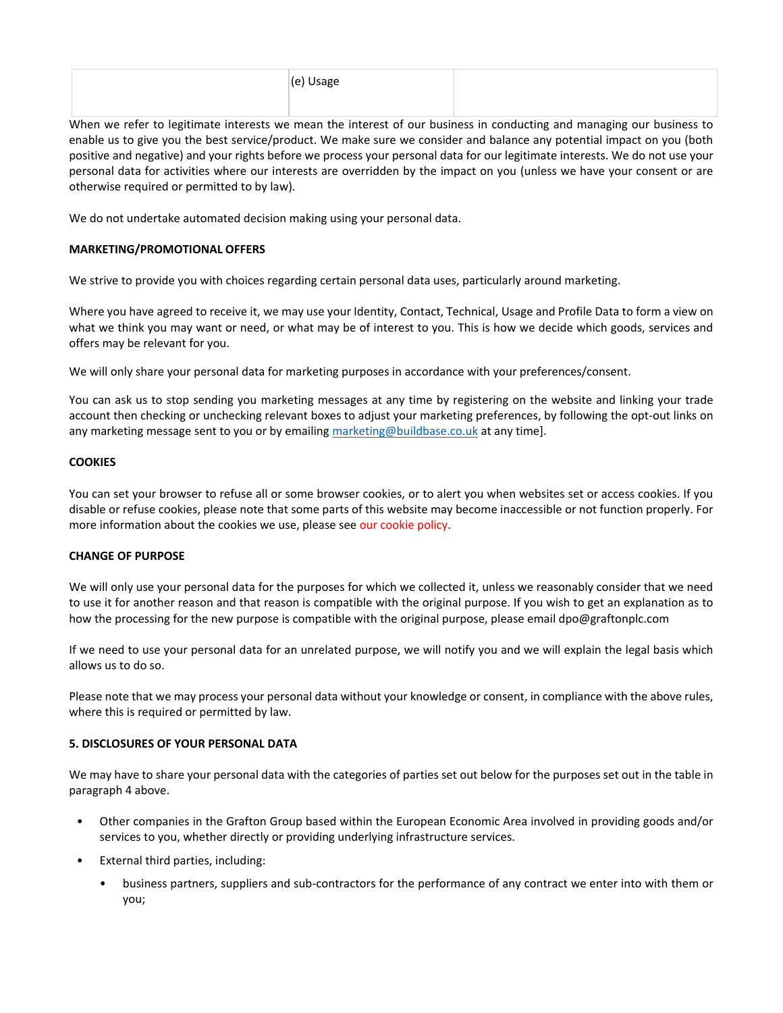When we refer to legitimate interests we mean the interest of our business in conducting and managing our business to enable us to give you the best service/product. We make sure we consider and balance any potential impact on you (both positive and negative) and your rights before we process your personal data for our legitimate interests. We do not use your personal data for activities where our interests are overridden by the impact on you (unless we have your consent or are otherwise required or permitted to by law).

We do not undertake automated decision making using your personal data.

# **MARKETING/PROMOTIONAL OFFERS**

We strive to provide you with choices regarding certain personal data uses, particularly around marketing.

Where you have agreed to receive it, we may use your Identity, Contact, Technical, Usage and Profile Data to form a view on what we think you may want or need, or what may be of interest to you. This is how we decide which goods, services and offers may be relevant for you.

We will only share your personal data for marketing purposes in accordance with your preferences/consent.

You can ask us to stop sending you marketing messages at any time by registering on the website and linking your trade account then checking or unchecking relevant boxes to adjust your marketing preferences, by following the opt-out links on any marketing message sent to you or by emailing [marketing@buildbase.co.uk](mailto:marketing@buildbase.co.uk) at any time].

# **COOKIES**

You can set your browser to refuse all or some browser cookies, or to alert you when websites set or access cookies. If you disable or refuse cookies, please note that some parts of this website may become inaccessible or not function properly. For more information about the cookies we use, please see our cookie policy.

# **CHANGE OF PURPOSE**

We will only use your personal data for the purposes for which we collected it, unless we reasonably consider that we need to use it for another reason and that reason is compatible with the original purpose. If you wish to get an explanation as to how the processing for the new purpose is compatible with the original purpose, please email dpo@graftonplc.com

If we need to use your personal data for an unrelated purpose, we will notify you and we will explain the legal basis which allows us to do so.

Please note that we may process your personal data without your knowledge or consent, in compliance with the above rules, where this is required or permitted by law.

# **5. DISCLOSURES OF YOUR PERSONAL DATA**

We may have to share your personal data with the categories of parties set out below for the purposes set out in the table in paragraph 4 above.

- Other companies in the Grafton Group based within the European Economic Area involved in providing goods and/or services to you, whether directly or providing underlying infrastructure services.
- External third parties, including:
	- business partners, suppliers and sub-contractors for the performance of any contract we enter into with them or you;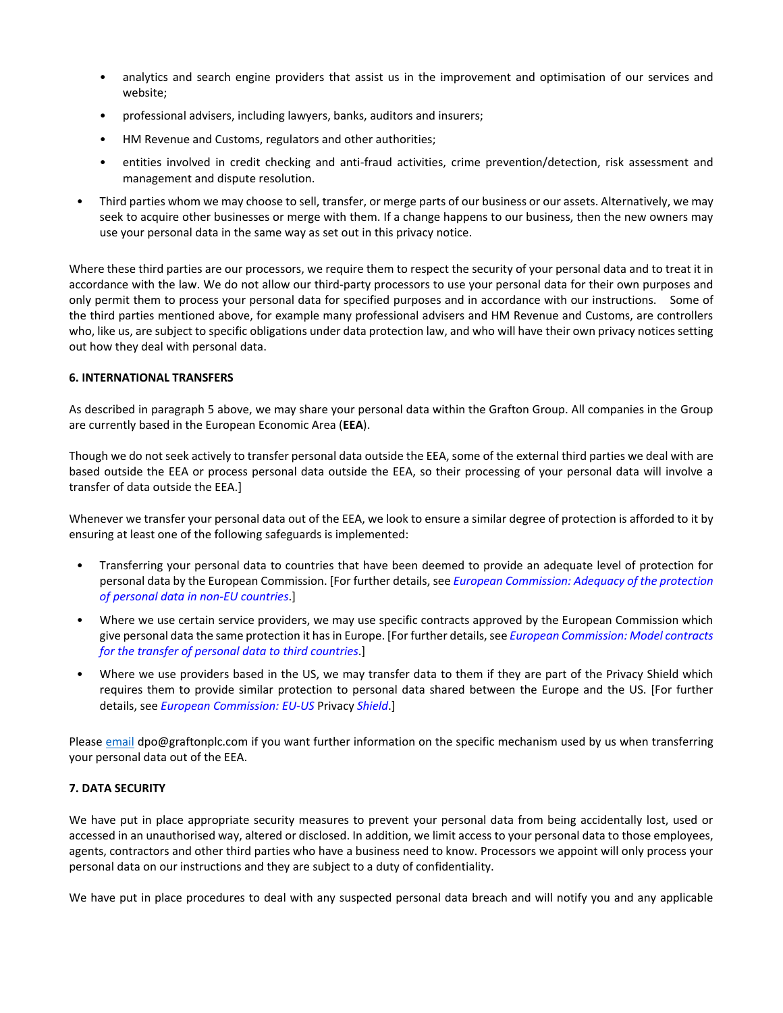- analytics and search engine providers that assist us in the improvement and optimisation of our services and website;
- professional advisers, including lawyers, banks, auditors and insurers;
- HM Revenue and Customs, regulators and other authorities;
- entities involved in credit checking and anti-fraud activities, crime prevention/detection, risk assessment and management and dispute resolution.
- Third parties whom we may choose to sell, transfer, or merge parts of our business or our assets. Alternatively, we may seek to acquire other businesses or merge with them. If a change happens to our business, then the new owners may use your personal data in the same way as set out in this privacy notice.

Where these third parties are our processors, we require them to respect the security of your personal data and to treat it in accordance with the law. We do not allow our third-party processors to use your personal data for their own purposes and only permit them to process your personal data for specified purposes and in accordance with our instructions. Some of the third parties mentioned above, for example many professional advisers and HM Revenue and Customs, are controllers who, like us, are subject to specific obligations under data protection law, and who will have their own privacy notices setting out how they deal with personal data.

# **6. INTERNATIONAL TRANSFERS**

As described in paragraph 5 above, we may share your personal data within the Grafton Group. All companies in the Group are currently based in the European Economic Area (**EEA**).

Though we do not seek actively to transfer personal data outside the EEA, some of the external third parties we deal with are based outside the EEA or process personal data outside the EEA, so their processing of your personal data will involve a transfer of data outside the EEA.]

Whenever we transfer your personal data out of the EEA, we look to ensure a similar degree of protection is afforded to it by ensuring at least one of the following safeguards is implemented:

- Transferring your personal data to countries that have been deemed to provide an adequate level of protection for personal data by the European Commission. [For further details, see *[European Commission: Adequacy of the protection](https://ec.europa.eu/info/law/law-topic/data-protection/data-transfers-outside-eu/adequacy-protection-personal-data-non-eu-countries_en)  [of personal data in non-EU countries](https://ec.europa.eu/info/law/law-topic/data-protection/data-transfers-outside-eu/adequacy-protection-personal-data-non-eu-countries_en)*.]
- Where we use certain service providers, we may use specific contracts approved by the European Commission which give personal data the same protection it has in Europe. [For further details, see *[European Commission: Model contracts](https://ec.europa.eu/info/strategy/justice-and-fundamental-rights/data-protection/data-transfers-outside-eu/model-contracts-transfer-personal-data-third-countries_en)  [for the transfer of personal data to third countries](https://ec.europa.eu/info/strategy/justice-and-fundamental-rights/data-protection/data-transfers-outside-eu/model-contracts-transfer-personal-data-third-countries_en)*.]
- Where we use providers based in the US, we may transfer data to them if they are part of the Privacy Shield which requires them to provide similar protection to personal data shared between the Europe and the US. [For further details, see *[European Commission: EU-US](https://ec.europa.eu/info/strategy/justice-and-fundamental-rights/data-protection/data-transfers-outside-eu/eu-us-privacy-shield_en)* Privacy *Shield*.]

Pleas[e email](mailto:email) dpo@graftonplc.com if you want further information on the specific mechanism used by us when transferring your personal data out of the EEA.

# **7. DATA SECURITY**

We have put in place appropriate security measures to prevent your personal data from being accidentally lost, used or accessed in an unauthorised way, altered or disclosed. In addition, we limit access to your personal data to those employees, agents, contractors and other third parties who have a business need to know. Processors we appoint will only process your personal data on our instructions and they are subject to a duty of confidentiality.

We have put in place procedures to deal with any suspected personal data breach and will notify you and any applicable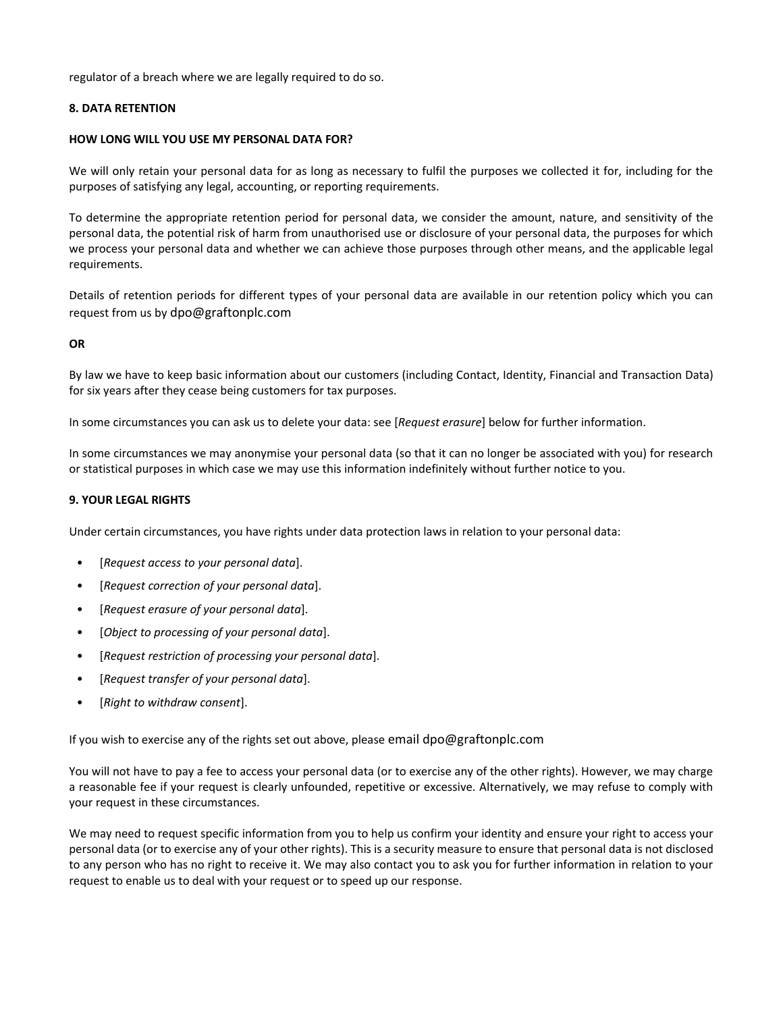regulator of a breach where we are legally required to do so.

## **8. DATA RETENTION**

## **HOW LONG WILL YOU USE MY PERSONAL DATA FOR?**

We will only retain your personal data for as long as necessary to fulfil the purposes we collected it for, including for the purposes of satisfying any legal, accounting, or reporting requirements.

To determine the appropriate retention period for personal data, we consider the amount, nature, and sensitivity of the personal data, the potential risk of harm from unauthorised use or disclosure of your personal data, the purposes for which we process your personal data and whether we can achieve those purposes through other means, and the applicable legal requirements.

Details of retention periods for different types of your personal data are available in our retention policy which you can request from us by dpo@graftonplc.com

## **OR**

By law we have to keep basic information about our customers (including Contact, Identity, Financial and Transaction Data) for six years after they cease being customers for tax purposes.

In some circumstances you can ask us to delete your data: see [*Request erasure*] below for further information.

In some circumstances we may anonymise your personal data (so that it can no longer be associated with you) for research or statistical purposes in which case we may use this information indefinitely without further notice to you.

## **9. YOUR LEGAL RIGHTS**

Under certain circumstances, you have rights under data protection laws in relation to your personal data:

- [*Request access to your personal data*].
- [*Request correction of your personal data*].
- [*Request erasure of your personal data*].
- [*Object to processing of your personal data*].
- [*Request restriction of processing your personal data*].
- [*Request transfer of your personal data*].
- [*Right to withdraw consent*].

If you wish to exercise any of the rights set out above, please email dpo@graftonplc.com

You will not have to pay a fee to access your personal data (or to exercise any of the other rights). However, we may charge a reasonable fee if your request is clearly unfounded, repetitive or excessive. Alternatively, we may refuse to comply with your request in these circumstances.

We may need to request specific information from you to help us confirm your identity and ensure your right to access your personal data (or to exercise any of your other rights). This is a security measure to ensure that personal data is not disclosed to any person who has no right to receive it. We may also contact you to ask you for further information in relation to your request to enable us to deal with your request or to speed up our response.